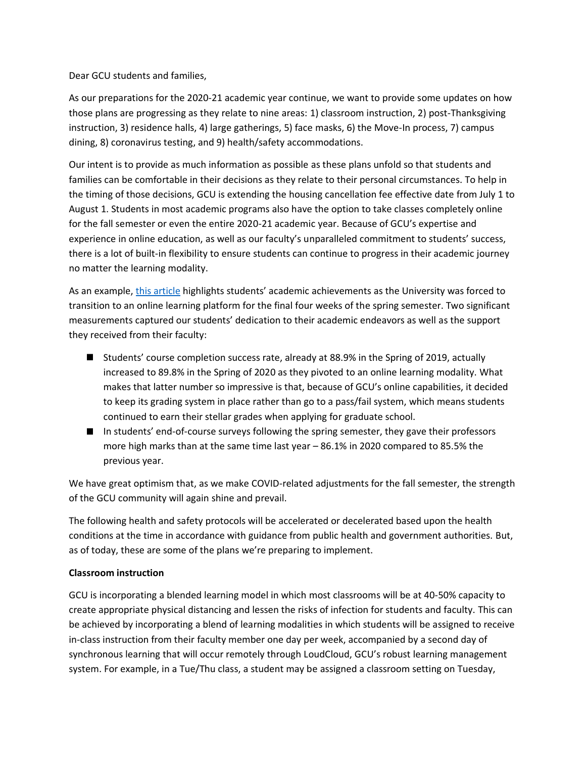Dear GCU students and families,

As our preparations for the 2020-21 academic year continue, we want to provide some updates on how those plans are progressing as they relate to nine areas: 1) classroom instruction, 2) post-Thanksgiving instruction, 3) residence halls, 4) large gatherings, 5) face masks, 6) the Move-In process, 7) campus dining, 8) coronavirus testing, and 9) health/safety accommodations.

Our intent is to provide as much information as possible as these plans unfold so that students and families can be comfortable in their decisions as they relate to their personal circumstances. To help in the timing of those decisions, GCU is extending the housing cancellation fee effective date from July 1 to August 1. Students in most academic programs also have the option to take classes completely online for the fall semester or even the entire 2020-21 academic year. Because of GCU's expertise and experience in online education, as well as our faculty's unparalleled commitment to students' success, there is a lot of built-in flexibility to ensure students can continue to progress in their academic journey no matter the learning modality.

As an example, [this article](https://news.gcu.edu/2020/06/students-professors-made-the-grade-despite-pandemic/) highlights students' academic achievements as the University was forced to transition to an online learning platform for the final four weeks of the spring semester. Two significant measurements captured our students' dedication to their academic endeavors as well as the support they received from their faculty:

- Students' course completion success rate, already at 88.9% in the Spring of 2019, actually increased to 89.8% in the Spring of 2020 as they pivoted to an online learning modality. What makes that latter number so impressive is that, because of GCU's online capabilities, it decided to keep its grading system in place rather than go to a pass/fail system, which means students continued to earn their stellar grades when applying for graduate school.
- In students' end-of-course surveys following the spring semester, they gave their professors more high marks than at the same time last year – 86.1% in 2020 compared to 85.5% the previous year.

We have great optimism that, as we make COVID-related adjustments for the fall semester, the strength of the GCU community will again shine and prevail.

The following health and safety protocols will be accelerated or decelerated based upon the health conditions at the time in accordance with guidance from public health and government authorities. But, as of today, these are some of the plans we're preparing to implement.

### **Classroom instruction**

GCU is incorporating a blended learning model in which most classrooms will be at 40-50% capacity to create appropriate physical distancing and lessen the risks of infection for students and faculty. This can be achieved by incorporating a blend of learning modalities in which students will be assigned to receive in-class instruction from their faculty member one day per week, accompanied by a second day of synchronous learning that will occur remotely through LoudCloud, GCU's robust learning management system. For example, in a Tue/Thu class, a student may be assigned a classroom setting on Tuesday,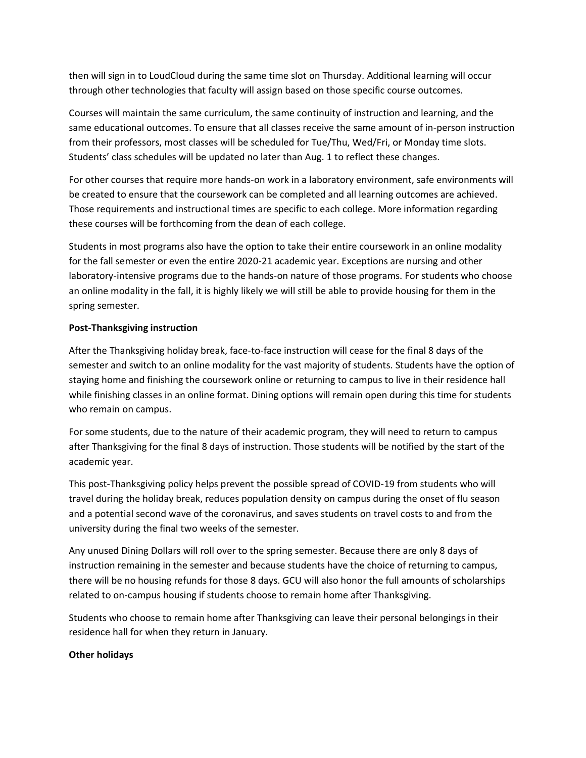then will sign in to LoudCloud during the same time slot on Thursday. Additional learning will occur through other technologies that faculty will assign based on those specific course outcomes.

Courses will maintain the same curriculum, the same continuity of instruction and learning, and the same educational outcomes. To ensure that all classes receive the same amount of in-person instruction from their professors, most classes will be scheduled for Tue/Thu, Wed/Fri, or Monday time slots. Students' class schedules will be updated no later than Aug. 1 to reflect these changes.

For other courses that require more hands-on work in a laboratory environment, safe environments will be created to ensure that the coursework can be completed and all learning outcomes are achieved. Those requirements and instructional times are specific to each college. More information regarding these courses will be forthcoming from the dean of each college.

Students in most programs also have the option to take their entire coursework in an online modality for the fall semester or even the entire 2020-21 academic year. Exceptions are nursing and other laboratory-intensive programs due to the hands-on nature of those programs. For students who choose an online modality in the fall, it is highly likely we will still be able to provide housing for them in the spring semester.

# **Post-Thanksgiving instruction**

After the Thanksgiving holiday break, face-to-face instruction will cease for the final 8 days of the semester and switch to an online modality for the vast majority of students. Students have the option of staying home and finishing the coursework online or returning to campus to live in their residence hall while finishing classes in an online format. Dining options will remain open during this time for students who remain on campus.

For some students, due to the nature of their academic program, they will need to return to campus after Thanksgiving for the final 8 days of instruction. Those students will be notified by the start of the academic year.

This post-Thanksgiving policy helps prevent the possible spread of COVID-19 from students who will travel during the holiday break, reduces population density on campus during the onset of flu season and a potential second wave of the coronavirus, and saves students on travel costs to and from the university during the final two weeks of the semester.

Any unused Dining Dollars will roll over to the spring semester. Because there are only 8 days of instruction remaining in the semester and because students have the choice of returning to campus, there will be no housing refunds for those 8 days. GCU will also honor the full amounts of scholarships related to on-campus housing if students choose to remain home after Thanksgiving.

Students who choose to remain home after Thanksgiving can leave their personal belongings in their residence hall for when they return in January.

# **Other holidays**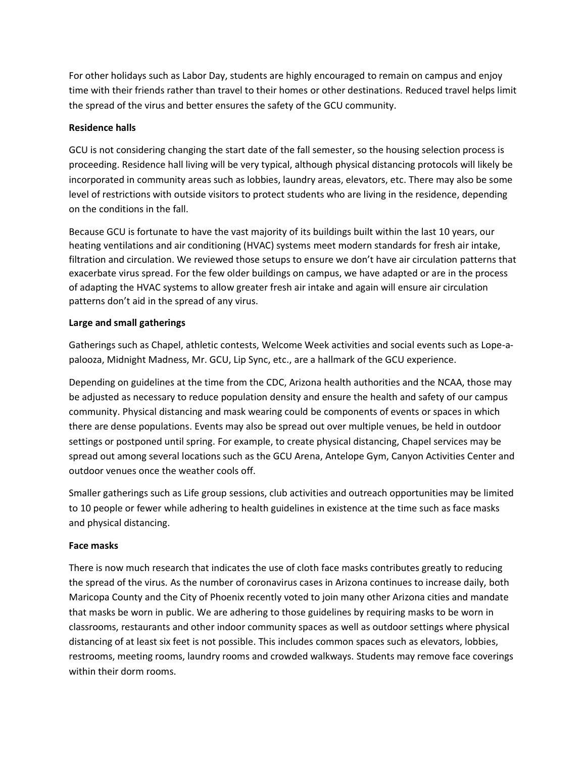For other holidays such as Labor Day, students are highly encouraged to remain on campus and enjoy time with their friends rather than travel to their homes or other destinations. Reduced travel helps limit the spread of the virus and better ensures the safety of the GCU community.

## **Residence halls**

GCU is not considering changing the start date of the fall semester, so the housing selection process is proceeding. Residence hall living will be very typical, although physical distancing protocols will likely be incorporated in community areas such as lobbies, laundry areas, elevators, etc. There may also be some level of restrictions with outside visitors to protect students who are living in the residence, depending on the conditions in the fall.

Because GCU is fortunate to have the vast majority of its buildings built within the last 10 years, our heating ventilations and air conditioning (HVAC) systems meet modern standards for fresh air intake, filtration and circulation. We reviewed those setups to ensure we don't have air circulation patterns that exacerbate virus spread. For the few older buildings on campus, we have adapted or are in the process of adapting the HVAC systems to allow greater fresh air intake and again will ensure air circulation patterns don't aid in the spread of any virus.

## **Large and small gatherings**

Gatherings such as Chapel, athletic contests, Welcome Week activities and social events such as Lope-apalooza, Midnight Madness, Mr. GCU, Lip Sync, etc., are a hallmark of the GCU experience.

Depending on guidelines at the time from the CDC, Arizona health authorities and the NCAA, those may be adjusted as necessary to reduce population density and ensure the health and safety of our campus community. Physical distancing and mask wearing could be components of events or spaces in which there are dense populations. Events may also be spread out over multiple venues, be held in outdoor settings or postponed until spring. For example, to create physical distancing, Chapel services may be spread out among several locations such as the GCU Arena, Antelope Gym, Canyon Activities Center and outdoor venues once the weather cools off.

Smaller gatherings such as Life group sessions, club activities and outreach opportunities may be limited to 10 people or fewer while adhering to health guidelines in existence at the time such as face masks and physical distancing.

### **Face masks**

There is now much research that indicates the use of cloth face masks contributes greatly to reducing the spread of the virus. As the number of coronavirus cases in Arizona continues to increase daily, both Maricopa County and the City of Phoenix recently voted to join many other Arizona cities and mandate that masks be worn in public. We are adhering to those guidelines by requiring masks to be worn in classrooms, restaurants and other indoor community spaces as well as outdoor settings where physical distancing of at least six feet is not possible. This includes common spaces such as elevators, lobbies, restrooms, meeting rooms, laundry rooms and crowded walkways. Students may remove face coverings within their dorm rooms.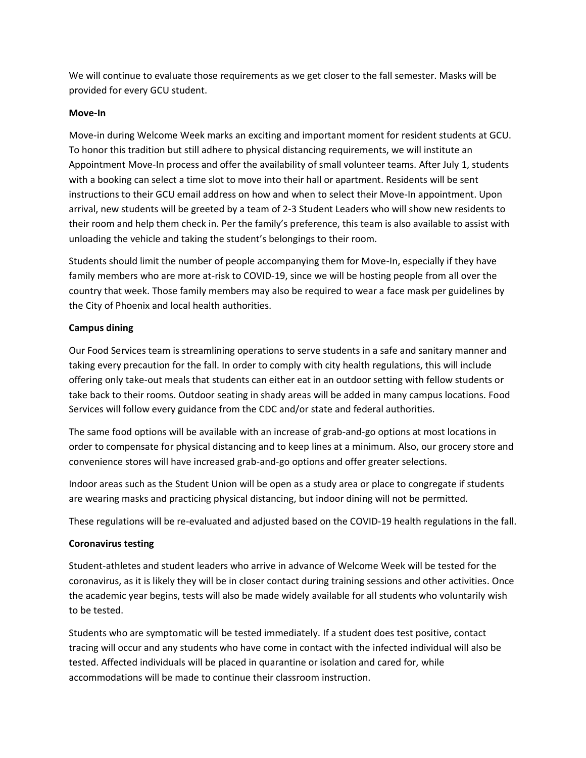We will continue to evaluate those requirements as we get closer to the fall semester. Masks will be provided for every GCU student.

### **Move-In**

Move-in during Welcome Week marks an exciting and important moment for resident students at GCU. To honor this tradition but still adhere to physical distancing requirements, we will institute an Appointment Move-In process and offer the availability of small volunteer teams. After July 1, students with a booking can select a time slot to move into their hall or apartment. Residents will be sent instructions to their GCU email address on how and when to select their Move-In appointment. Upon arrival, new students will be greeted by a team of 2-3 Student Leaders who will show new residents to their room and help them check in. Per the family's preference, this team is also available to assist with unloading the vehicle and taking the student's belongings to their room.

Students should limit the number of people accompanying them for Move-In, especially if they have family members who are more at-risk to COVID-19, since we will be hosting people from all over the country that week. Those family members may also be required to wear a face mask per guidelines by the City of Phoenix and local health authorities.

# **Campus dining**

Our Food Services team is streamlining operations to serve students in a safe and sanitary manner and taking every precaution for the fall. In order to comply with city health regulations, this will include offering only take-out meals that students can either eat in an outdoor setting with fellow students or take back to their rooms. Outdoor seating in shady areas will be added in many campus locations. Food Services will follow every guidance from the CDC and/or state and federal authorities.

The same food options will be available with an increase of grab-and-go options at most locations in order to compensate for physical distancing and to keep lines at a minimum. Also, our grocery store and convenience stores will have increased grab-and-go options and offer greater selections.

Indoor areas such as the Student Union will be open as a study area or place to congregate if students are wearing masks and practicing physical distancing, but indoor dining will not be permitted.

These regulations will be re-evaluated and adjusted based on the COVID-19 health regulations in the fall.

# **Coronavirus testing**

Student-athletes and student leaders who arrive in advance of Welcome Week will be tested for the coronavirus, as it is likely they will be in closer contact during training sessions and other activities. Once the academic year begins, tests will also be made widely available for all students who voluntarily wish to be tested.

Students who are symptomatic will be tested immediately. If a student does test positive, contact tracing will occur and any students who have come in contact with the infected individual will also be tested. Affected individuals will be placed in quarantine or isolation and cared for, while accommodations will be made to continue their classroom instruction.